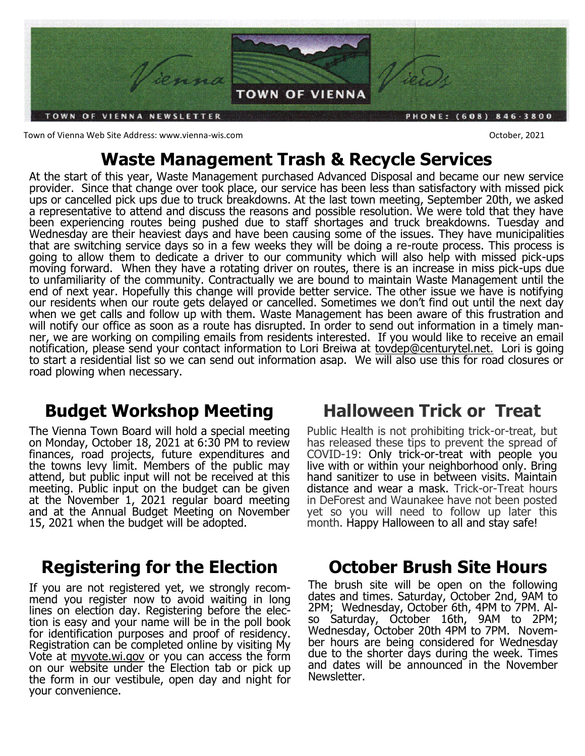

Town of Vienna Web Site Address: www.vienna-wis.com **October, 2021** Number 2021

### **Waste Management Trash & Recycle Services**

At the start of this year, Waste Management purchased Advanced Disposal and became our new service provider. Since that change over took place, our service has been less than satisfactory with missed pick ups or cancelled pick ups due to truck breakdowns. At the last town meeting, September 20th, we asked a representative to attend and discuss the reasons and possible resolution. We were told that they have been experiencing routes being pushed due to staff shortages and truck breakdowns. Tuesday and Wednesday are their heaviest days and have been causing some of the issues. They have municipalities that are switching service days so in a few weeks they will be doing a re-route process. This process is going to allow them to dedicate a driver to our community which will also help with missed pick-ups moving forward. When they have a rotating driver on routes, there is an increase in miss pick-ups due to unfamiliarity of the community. Contractually we are bound to maintain Waste Management until the end of next year. Hopefully this change will provide better service. The other issue we have is notifying our residents when our route gets delayed or cancelled. Sometimes we don't find out until the next day when we get calls and follow up with them. Waste Management has been aware of this frustration and will notify our office as soon as a route has disrupted. In order to send out information in a timely manner, we are working on compiling emails from residents interested. If you would like to receive an email notification, please send your contact information to Lori Breiwa at tovdep@centurytel.net. Lori is going to start a residential list so we can send out information asap. We will also use this for road closures or road plowing when necessary.

# **Budget Workshop Meeting**

The Vienna Town Board will hold a special meeting on Monday, October 18, 2021 at 6:30 PM to review finances, road projects, future expenditures and the towns levy limit. Members of the public may attend, but public input will not be received at this meeting. Public input on the budget can be given at the November 1, 2021 regular board meeting and at the Annual Budget Meeting on November 15, 2021 when the budget will be adopted.

# **Registering for the Election**

If you are not registered yet, we strongly recommend you register now to avoid waiting in long lines on election day. Registering before the election is easy and your name will be in the poll book for identification purposes and proof of residency. Registration can be completed online by visiting My Vote at myvote.wi.gov or you can access the form on our website under the Election tab or pick up the form in our vestibule, open day and night for your convenience.

### **Halloween Trick or Treat**

Public Health is not prohibiting trick-or-treat, but has released these tips to prevent the spread of COVID-19: Only trick-or-treat with people you live with or within your neighborhood only. Bring hand sanitizer to use in between visits. Maintain distance and wear a mask. Trick-or-Treat hours in DeForest and Waunakee have not been posted yet so you will need to follow up later this month. Happy Halloween to all and stay safe!

# **October Brush Site Hours**

The brush site will be open on the following dates and times. Saturday, October 2nd, 9AM to 2PM; Wednesday, October 6th, 4PM to 7PM. Also Saturday, October 16th, 9AM to 2PM; Wednesday, October 20th 4PM to 7PM. November hours are being considered for Wednesday due to the shorter days during the week. Times and dates will be announced in the November Newsletter.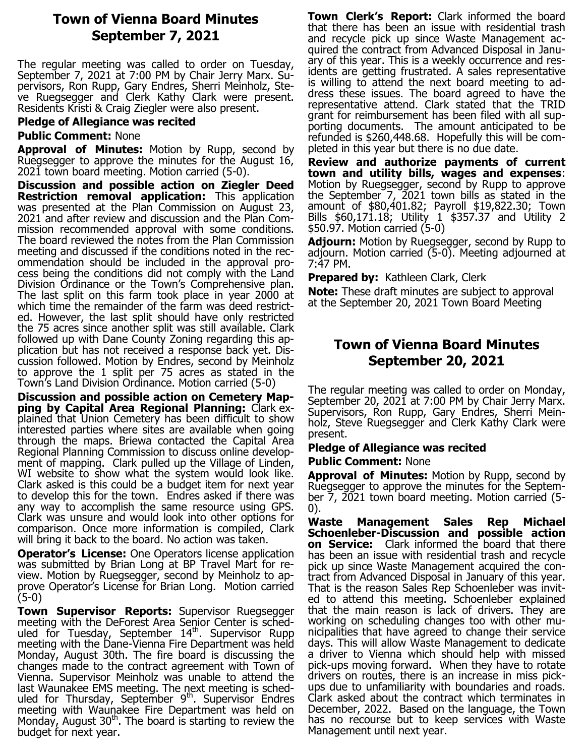### **Town of Vienna Board Minutes September 7, 2021**

The regular meeting was called to order on Tuesday, September 7, 2021 at 7:00 PM by Chair Jerry Marx. Supervisors, Ron Rupp, Gary Endres, Sherri Meinholz, Steve Ruegsegger and Clerk Kathy Clark were present. Residents Kristi & Craig Ziegler were also present.

#### **Pledge of Allegiance was recited**

#### **Public Comment:** None

**Approval of Minutes:** Motion by Rupp, second by Ruegsegger to approve the minutes for the August 16, 2021 town board meeting. Motion carried (5-0).

**Discussion and possible action on Ziegler Deed Restriction removal application:** This application was presented at the Plan Commission on August 23, 2021 and after review and discussion and the Plan Commission recommended approval with some conditions. The board reviewed the notes from the Plan Commission meeting and discussed if the conditions noted in the recommendation should be included in the approval process being the conditions did not comply with the Land Division Ordinance or the Town's Comprehensive plan. The last split on this farm took place in year 2000 at which time the remainder of the farm was deed restricted. However, the last split should have only restricted the 75 acres since another split was still available. Clark followed up with Dane County Zoning regarding this application but has not received a response back yet. Discussion followed. Motion by Endres, second by Meinholz to approve the 1 split per 75 acres as stated in the Town's Land Division Ordinance. Motion carried (5-0)

**Discussion and possible action on Cemetery Mapping by Capital Area Regional Planning:** Clark explained that Union Cemetery has been difficult to show interested parties where sites are available when going through the maps. Briewa contacted the Capital Area Regional Planning Commission to discuss online development of mapping. Clark pulled up the Village of Linden, WI website to show what the system would look like. Clark asked is this could be a budget item for next year to develop this for the town. Endres asked if there was any way to accomplish the same resource using GPS. Clark was unsure and would look into other options for comparison. Once more information is compiled, Clark will bring it back to the board. No action was taken.

**Operator's License:** One Operators license application was submitted by Brian Long at BP Travel Mart for review. Motion by Ruegsegger, second by Meinholz to approve Operator's License for Brian Long. Motion carried (5-0)

**Town Supervisor Reports:** Supervisor Ruegsegger meeting with the DeForest Area Senior Center is scheduled for Tuesday, September  $14<sup>th</sup>$ . Supervisor Rupp meeting with the Dane-Vienna Fire Department was held Monday, August 30th. The fire board is discussing the changes made to the contract agreement with Town of Vienna. Supervisor Meinholz was unable to attend the last Waunakee EMS meeting. The next meeting is scheduled for Thursday, September 9<sup>th</sup>. Supervisor Endres meeting with Waunakee Fire Department was held on Monday, August  $30<sup>th</sup>$ . The board is starting to review the budget for next year.

**Town Clerk's Report:** Clark informed the board that there has been an issue with residential trash and recycle pick up since Waste Management acquired the contract from Advanced Disposal in January of this year. This is a weekly occurrence and residents are getting frustrated. A sales representative is willing to attend the next board meeting to address these issues. The board agreed to have the representative attend. Clark stated that the TRID grant for reimbursement has been filed with all supporting documents. The amount anticipated to be refunded is \$260,448.68. Hopefully this will be completed in this year but there is no due date.

**Review and authorize payments of current town and utility bills, wages and expenses**: Motion by Ruegsegger, second by Rupp to approve the September 7, 2021 town bills as stated in the amount of \$80,401.82; Payroll \$19,822.30; Town Bills \$60,171.18; Utility 1 \$357.37 and Utility 2 \$50.97. Motion carried (5-0)

**Adjourn:** Motion by Ruegsegger, second by Rupp to adjourn. Motion carried (5-0). Meeting adjourned at 7:47 PM.

**Prepared by:** Kathleen Clark, Clerk

**Note:** These draft minutes are subject to approval at the September 20, 2021 Town Board Meeting

### **Town of Vienna Board Minutes September 20, 2021**

The regular meeting was called to order on Monday, September 20, 2021 at 7:00 PM by Chair Jerry Marx. Supervisors, Ron Rupp, Gary Endres, Sherri Meinholz, Steve Ruegsegger and Clerk Kathy Clark were present.

### **Pledge of Allegiance was recited**

#### **Public Comment:** None

**Approval of Minutes:** Motion by Rupp, second by Ruegsegger to approve the minutes for the September 7, 2021 town board meeting. Motion carried (5- 0).

**Waste Management Sales Rep Michael Schoenleber-Discussion and possible action on Service:** Clark informed the board that there has been an issue with residential trash and recycle pick up since Waste Management acquired the contract from Advanced Disposal in January of this year. That is the reason Sales Rep Schoenleber was invited to attend this meeting. Schoenleber explained that the main reason is lack of drivers. They are working on scheduling changes too with other municipalities that have agreed to change their service days. This will allow Waste Management to dedicate a driver to Vienna which should help with missed pick-ups moving forward. When they have to rotate drivers on routes, there is an increase in miss pickups due to unfamiliarity with boundaries and roads. Clark asked about the contract which terminates in December, 2022. Based on the language, the Town has no recourse but to keep services with Waste Management until next year.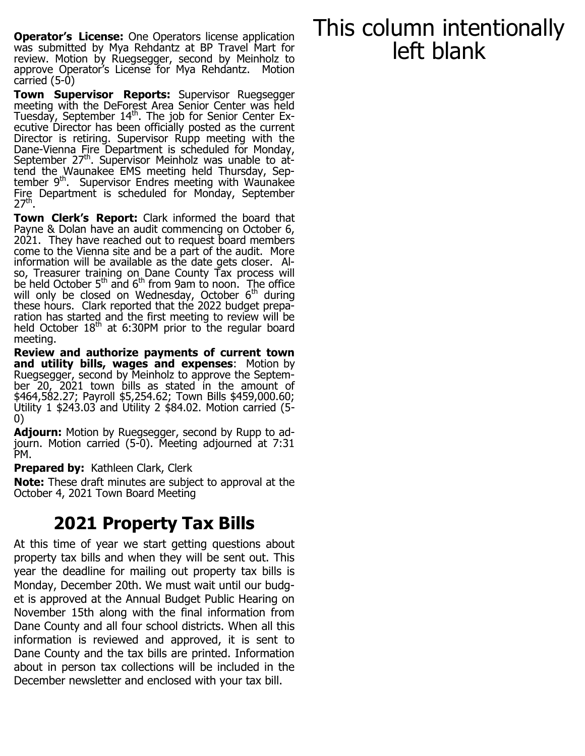**Operator's License:** One Operators license application was submitted by Mya Rehdantz at BP Travel Mart for review. Motion by Ruegsegger, second by Meinholz to approve Operator's License for Mya Rehdantz. Motion carried (5-0)

**Town Supervisor Reports:** Supervisor Ruegsegger meeting with the DeForest Area Senior Center was held Tuesday, September 14<sup>th</sup>. The job for Senior Center Executive Director has been officially posted as the current Director is retiring. Supervisor Rupp meeting with the Dane-Vienna Fire Department is scheduled for Monday, September 27<sup>th</sup>. Supervisor Meinholz was unable to attend the Waunakee EMS meeting held Thursday, September 9<sup>th</sup>. Supervisor Endres meeting with Waunakee Fire Department is scheduled for Monday, September 27th .

**Town Clerk's Report:** Clark informed the board that Payne & Dolan have an audit commencing on October 6, 2021. They have reached out to request board members come to the Vienna site and be a part of the audit. More information will be available as the date gets closer. Also, Treasurer training on Dane County Tax process will be held October 5<sup>th</sup> and 6<sup>th</sup> from 9am to noon. The office will only be closed on Wednesday, October  $6<sup>th</sup>$  during these hours. Clark reported that the 2022 budget preparation has started and the first meeting to review will be held October  $18<sup>th</sup>$  at 6:30PM prior to the regular board meeting.

**Review and authorize payments of current town and utility bills, wages and expenses**: Motion by Ruegsegger, second by Meinholz to approve the September 20, 2021 town bills as stated in the amount of \$464,582.27; Payroll \$5,254.62; Town Bills \$459,000.60; Utility 1 \$243.03 and Utility 2 \$84.02. Motion carried (5- 0)

**Adjourn:** Motion by Ruegsegger, second by Rupp to adjourn. Motion carried (5-0). Meeting adjourned at 7:31 PM.

### **Prepared by: Kathleen Clark, Clerk**

**Note:** These draft minutes are subject to approval at the October 4, 2021 Town Board Meeting

# **2021 Property Tax Bills**

At this time of year we start getting questions about property tax bills and when they will be sent out. This year the deadline for mailing out property tax bills is Monday, December 20th. We must wait until our budget is approved at the Annual Budget Public Hearing on November 15th along with the final information from Dane County and all four school districts. When all this information is reviewed and approved, it is sent to Dane County and the tax bills are printed. Information about in person tax collections will be included in the December newsletter and enclosed with your tax bill.

# This column intentionally left blank